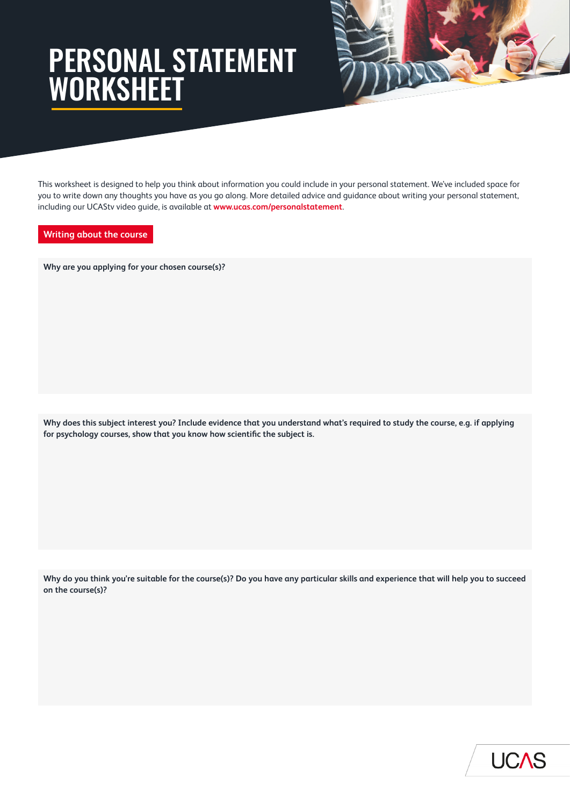# PERSONAL STATEMENT WORKSHEET



This worksheet is designed to help you think about information you could include in your personal statement. We've included space for you to write down any thoughts you have as you go along. More detailed advice and guidance about writing your personal statement, including our UCAStv video guide, is available at **<www.ucas.com/personalstatement>**.

# **Writing about the course**

**Why are you applying for your chosen course(s)?**

**Why does this subject interest you? Include evidence that you understand what's required to study the course, e.g. if applying for psychology courses, show that you know how scientific the subject is.**

**Why do you think you're suitable for the course(s)? Do you have any particular skills and experience that will help you to succeed on the course(s)?**

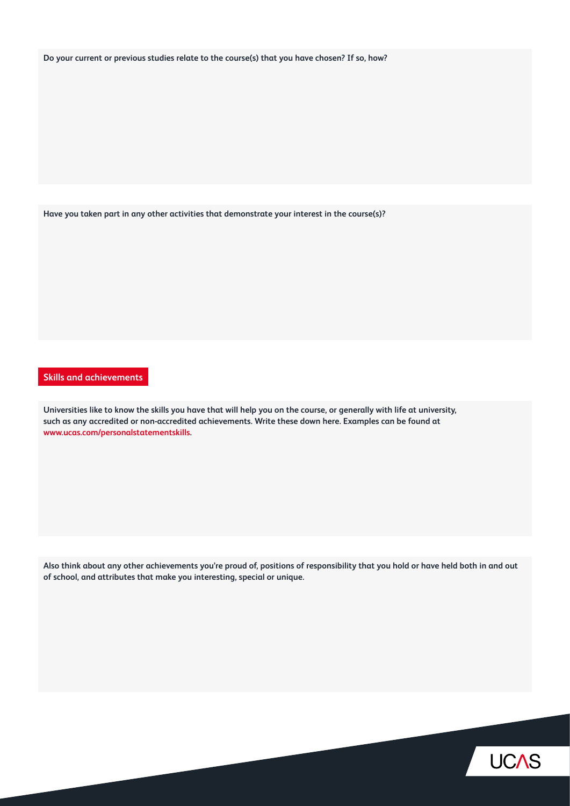**Do your current or previous studies relate to the course(s) that you have chosen? If so, how?**

**Have you taken part in any other activities that demonstrate your interest in the course(s)?**

# **Skills and achievements**

**Universities like to know the skills you have that will help you on the course, or generally with life at university, such as any accredited or non-accredited achievements. Write these down here. Examples can be found at <www.ucas.com/personalstatementskills>.**

**Also think about any other achievements you're proud of, positions of responsibility that you hold or have held both in and out of school, and attributes that make you interesting, special or unique.**

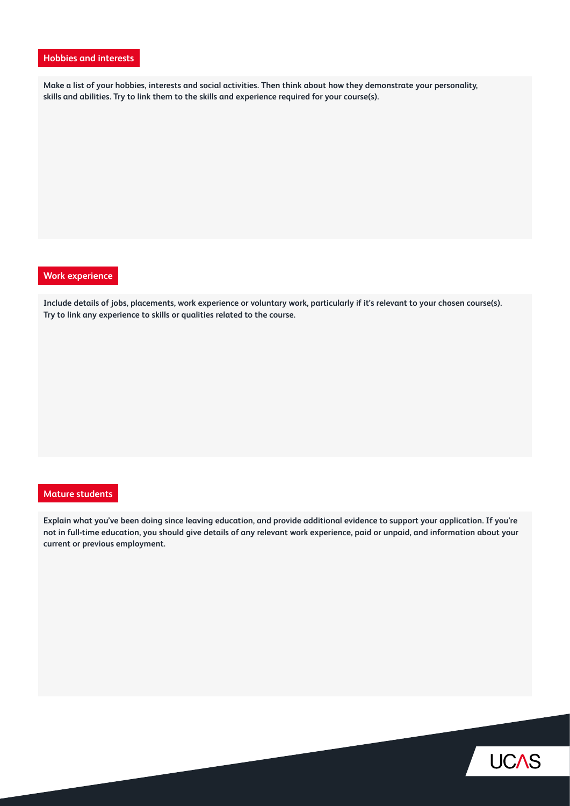# **Hobbies and interests**

**Make a list of your hobbies, interests and social activities. Then think about how they demonstrate your personality, skills and abilities. Try to link them to the skills and experience required for your course(s).**

## **Work experience**

**Include details of jobs, placements, work experience or voluntary work, particularly if it's relevant to your chosen course(s). Try to link any experience to skills or qualities related to the course.**

#### **Mature students**

**Explain what you've been doing since leaving education, and provide additional evidence to support your application. If you're not in full-time education, you should give details of any relevant work experience, paid or unpaid, and information about your current or previous employment.**